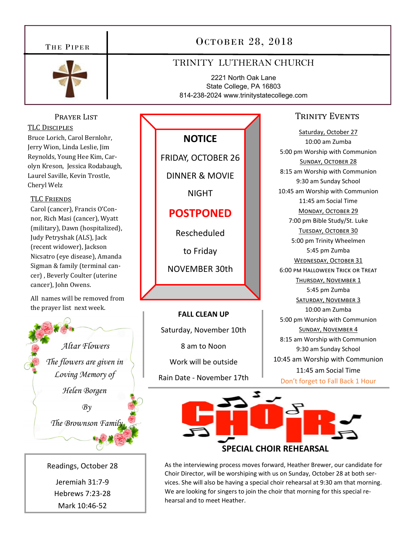### THE PIPER



# OCTOBER 28, 2018

### TRINITY LUTHERAN CHURCH

2221 North Oak Lane State College, PA 16803 814-238-2024 www.trinitystatecollege.com

### **PRAYER LIST**

#### **TLC DISCIPLES**

Bruce Lorich, Carol Bernlohr, Jerry Wion, Linda Leslie, Jim Reynolds, Young Hee Kim, Carolyn Kreson, Jessica Rodabaugh, Laurel Saville, Kevin Trostle, Cheryl Welz

### **TLC FRIENDS**

Carol (cancer), Francis O'Connor, Rich Masi (cancer), Wyatt (military), Dawn (hospitalized), Judy Petryshak (ALS), Jack (recent widower), Jackson Nicsatro (eye disease), Amanda Sigman & family (terminal cancer), Beverly Coulter (uterine cancer), John Owens.

All names will be removed from the praver list next week.



Readings, October 28

Jeremiah 31:7-9 Hebrews 7:23-28 Mark 10:46-52

## **NOTICE**

**FRIDAY, OCTOBER 26** 

**DINNER & MOVIE** 

**NIGHT** 

## **POSTPONED**

Rescheduled

to Friday

**NOVEMBER 30th** 

**FALL CLEAN UP** Saturday, November 10th 8 am to Noon Work will be outside Rain Date - November 17th

### **TRINITY EVENTS**

Saturday, October 27 10:00 am Zumba 5:00 pm Worship with Communion SUNDAY, OCTOBER 28 8:15 am Worship with Communion 9:30 am Sunday School 10:45 am Worship with Communion 11:45 am Social Time MONDAY, OCTOBER 29 7:00 pm Bible Study/St. Luke TUESDAY, OCTOBER 30 5:00 pm Trinity Wheelmen 5:45 pm Zumba WEDNESDAY, OCTOBER 31 6:00 PM HALLOWEEN TRICK OR TREAT THURSDAY, NOVEMBER 1 5:45 pm Zumba SATURDAY, NOVEMBER 3 10:00 am Zumba 5:00 pm Worship with Communion **SUNDAY, NOVEMBER 4** 8:15 am Worship with Communion 9:30 am Sunday School 10:45 am Worship with Communion 11:45 am Social Time Don't forget to Fall Back 1 Hour



As the interviewing process moves forward, Heather Brewer, our candidate for Choir Director, will be worshiping with us on Sunday, October 28 at both services. She will also be having a special choir rehearsal at 9:30 am that morning. We are looking for singers to join the choir that morning for this special rehearsal and to meet Heather.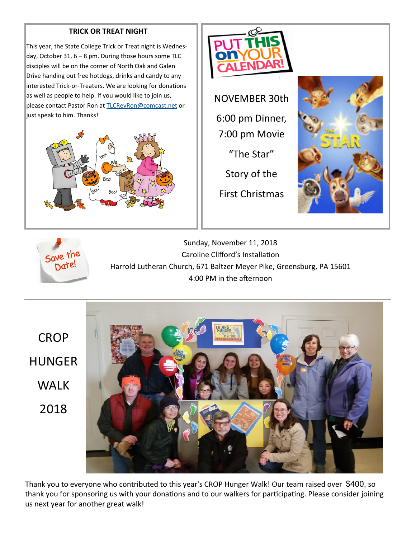### **TRICK OR TREAT NIGHT**

This year, the State College Trick or Treat night is Wednes‐ day, October 31, 6 – 8 pm. During those hours some TLC disciples will be on the corner of North Oak and Galen Drive handing out free hotdogs, drinks and candy to any interested Trick-or-Treaters. We are looking for donations as well as people to help. If you would like to join us, please contact Pastor Ron at TLCRevRon@comcast.net or just speak to him. Thanks!





NOVEMBER 30th 6:00 pm Dinner, 7:00 pm Movie

Story of the

"The Star"

First Christmas





Sunday, November 11, 2018 Caroline Clifford's Installation Harrold Lutheran Church, 671 Baltzer Meyer Pike, Greensburg, PA 15601 4:00 PM in the afternoon

**CROP** HUNGER WALK 2018



Thank you to everyone who contributed to this year's CROP Hunger Walk! Our team raised over \$400, so thank you for sponsoring us with your donations and to our walkers for participating. Please consider joining us next year for another great walk!